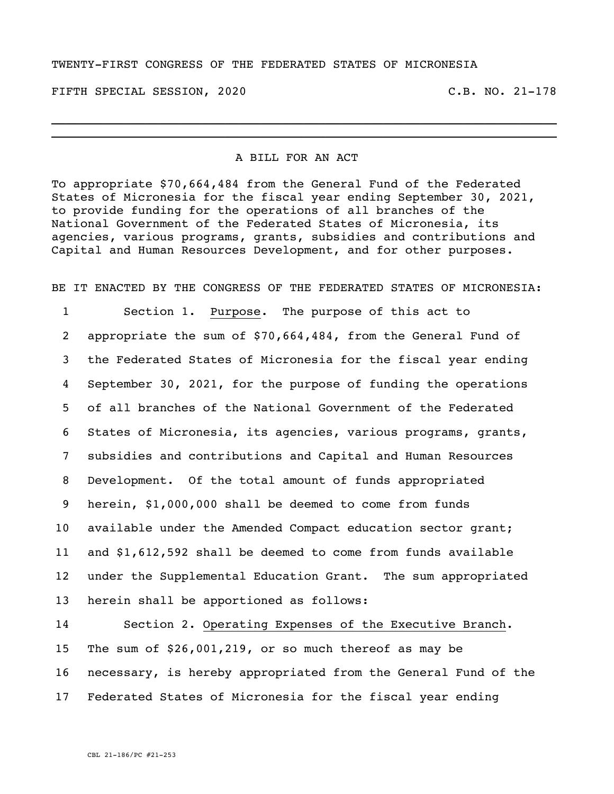## TWENTY-FIRST CONGRESS OF THE FEDERATED STATES OF MICRONESIA

FIFTH SPECIAL SESSION, 2020 C.B. NO. 21-178

## A BILL FOR AN ACT

\_\_\_\_\_\_\_\_\_\_\_\_\_\_\_\_\_\_\_\_\_\_\_\_\_\_\_\_\_\_\_\_\_\_\_\_\_\_\_\_\_\_\_\_\_\_\_\_\_\_\_\_\_\_\_\_\_\_\_\_\_\_\_\_\_\_\_\_\_\_ \_\_\_\_\_\_\_\_\_\_\_\_\_\_\_\_\_\_\_\_\_\_\_\_\_\_\_\_\_\_\_\_\_\_\_\_\_\_\_\_\_\_\_\_\_\_\_\_\_\_\_\_\_\_\_\_\_\_\_\_\_\_\_\_\_\_\_\_\_\_

To appropriate \$70,664,484 from the General Fund of the Federated States of Micronesia for the fiscal year ending September 30, 2021, to provide funding for the operations of all branches of the National Government of the Federated States of Micronesia, its agencies, various programs, grants, subsidies and contributions and Capital and Human Resources Development, and for other purposes.

BE IT ENACTED BY THE CONGRESS OF THE FEDERATED STATES OF MICRONESIA:

 Section 1. Purpose. The purpose of this act to appropriate the sum of \$70,664,484, from the General Fund of the Federated States of Micronesia for the fiscal year ending September 30, 2021, for the purpose of funding the operations of all branches of the National Government of the Federated States of Micronesia, its agencies, various programs, grants, subsidies and contributions and Capital and Human Resources Development. Of the total amount of funds appropriated herein, \$1,000,000 shall be deemed to come from funds available under the Amended Compact education sector grant; and \$1,612,592 shall be deemed to come from funds available under the Supplemental Education Grant. The sum appropriated herein shall be apportioned as follows:

 Section 2. Operating Expenses of the Executive Branch. The sum of \$26,001,219, or so much thereof as may be necessary, is hereby appropriated from the General Fund of the Federated States of Micronesia for the fiscal year ending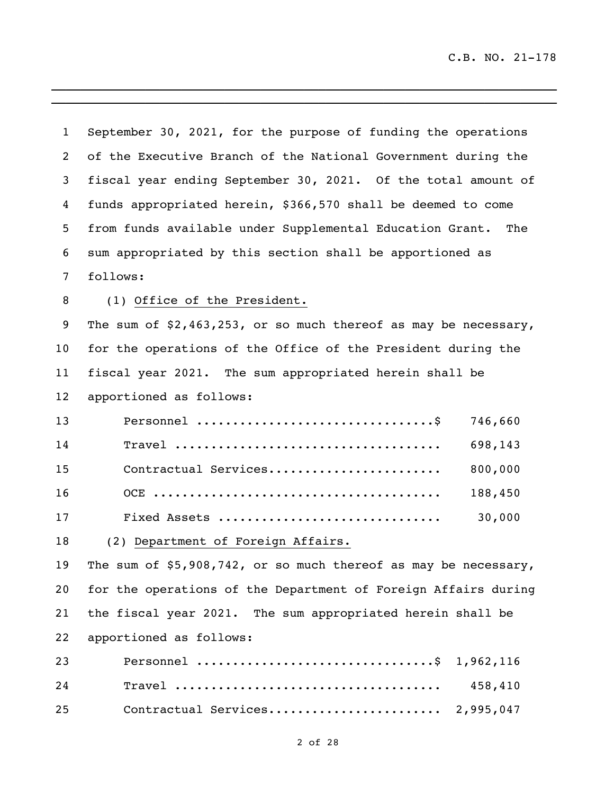| $\mathbf{1}$    | September 30, 2021, for the purpose of funding the operations     |
|-----------------|-------------------------------------------------------------------|
| 2               | of the Executive Branch of the National Government during the     |
| 3               | fiscal year ending September 30, 2021. Of the total amount of     |
| 4               | funds appropriated herein, \$366,570 shall be deemed to come      |
| 5               | from funds available under Supplemental Education Grant. The      |
| 6               | sum appropriated by this section shall be apportioned as          |
| 7               | follows:                                                          |
| 8               | (1) Office of the President.                                      |
| 9               | The sum of $$2,463,253$ , or so much thereof as may be necessary, |
| 10 <sub>1</sub> | for the operations of the Office of the President during the      |
| 11              | fiscal year 2021. The sum appropriated herein shall be            |
| 12              | apportioned as follows:                                           |
| 13              | 746,660                                                           |
| 14              | 698,143                                                           |
| 15              | 800,000<br>Contractual Services                                   |
| 16              | 188,450                                                           |
| 17              | 30,000<br>Fixed Assets                                            |
| 18              | (2) Department of Foreign Affairs.                                |
| 19              | The sum of $$5,908,742$ , or so much thereof as may be necessary, |
| 20              | for the operations of the Department of Foreign Affairs during    |
| 21              | the fiscal year 2021. The sum appropriated herein shall be        |
| 22              | apportioned as follows:                                           |
| 23              | Personnel \$ 1,962,116                                            |
| 24              | 458,410                                                           |
| 25              | 2,995,047<br>Contractual Services                                 |

 $\mathcal{L}_\mathcal{L}$  , and the set of the set of the set of the set of the set of the set of the set of the set of the set of the set of the set of the set of the set of the set of the set of the set of the set of the set of th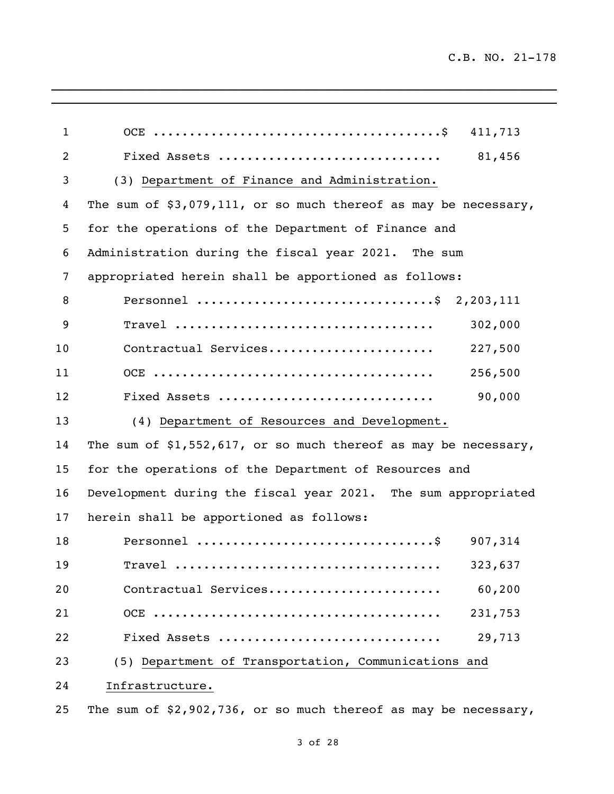| $\mathbf{1}$   | 411,713                                                           |
|----------------|-------------------------------------------------------------------|
| $\overline{2}$ | 81,456<br>Fixed Assets                                            |
| 3              | (3) Department of Finance and Administration.                     |
| 4              | The sum of $$3,079,111$ , or so much thereof as may be necessary, |
| 5              | for the operations of the Department of Finance and               |
| 6              | Administration during the fiscal year 2021. The sum               |
| 7              | appropriated herein shall be apportioned as follows:              |
| 8              | Personnel \$ 2,203,111                                            |
| 9              | 302,000                                                           |
| 10             | Contractual Services<br>227,500                                   |
| 11             | 256,500                                                           |
| 12             | 90,000<br>Fixed Assets                                            |
| 13             | (4) Department of Resources and Development.                      |
| 14             | The sum of $$1,552,617$ , or so much thereof as may be necessary, |
| 15             | for the operations of the Department of Resources and             |
| 16             | Development during the fiscal year 2021. The sum appropriated     |
| 17             | herein shall be apportioned as follows:                           |
| 18             | 907,314                                                           |
| 19             | 323,637                                                           |
| 20             | Contractual Services<br>60,200                                    |
| 21             | 231,753                                                           |
| 22             | Fixed Assets<br>29,713                                            |
| 23             | (5) Department of Transportation, Communications and              |
| 24             | Infrastructure.                                                   |
| 25             | The sum of \$2,902,736, or so much thereof as may be necessary,   |

\_\_\_\_\_\_\_\_\_\_\_\_\_\_\_\_\_\_\_\_\_\_\_\_\_\_\_\_\_\_\_\_\_\_\_\_\_\_\_\_\_\_\_\_\_\_\_\_\_\_\_\_\_\_\_\_\_\_\_\_\_\_\_\_\_\_\_\_\_\_  $\mathcal{L}_\mathcal{L} = \mathcal{L}_\mathcal{L} = \mathcal{L}_\mathcal{L} = \mathcal{L}_\mathcal{L} = \mathcal{L}_\mathcal{L} = \mathcal{L}_\mathcal{L} = \mathcal{L}_\mathcal{L} = \mathcal{L}_\mathcal{L} = \mathcal{L}_\mathcal{L} = \mathcal{L}_\mathcal{L} = \mathcal{L}_\mathcal{L} = \mathcal{L}_\mathcal{L} = \mathcal{L}_\mathcal{L} = \mathcal{L}_\mathcal{L} = \mathcal{L}_\mathcal{L} = \mathcal{L}_\mathcal{L} = \mathcal{L}_\mathcal{L}$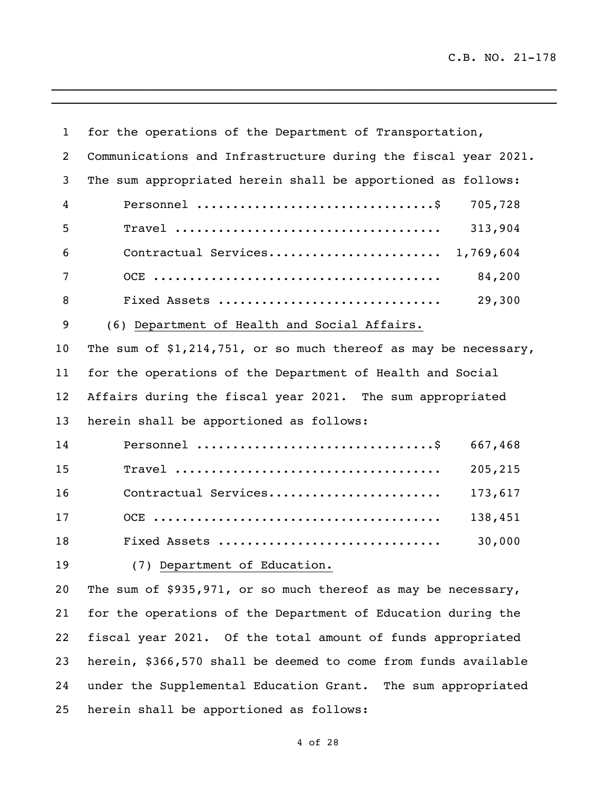| $\mathbf{1}$ | for the operations of the Department of Transportation,                        |
|--------------|--------------------------------------------------------------------------------|
| 2            | Communications and Infrastructure during the fiscal year 2021.                 |
| 3            | The sum appropriated herein shall be apportioned as follows:                   |
| 4            | Personnel $\dots\dots\dots\dots\dots\dots\dots\dots\dots\dots\dots$<br>705,728 |
| 5            | 313,904                                                                        |
| 6            | Contractual Services<br>1,769,604                                              |
| 7            | 84,200                                                                         |
| 8            | 29,300<br>Fixed Assets                                                         |
| 9            | (6) Department of Health and Social Affairs.                                   |
| 10           | The sum of $$1,214,751$ , or so much thereof as may be necessary,              |
| 11           | for the operations of the Department of Health and Social                      |
| 12           | Affairs during the fiscal year 2021. The sum appropriated                      |
| 13           | herein shall be apportioned as follows:                                        |
| 14           | 667,468                                                                        |
| 15           | $\texttt{True}$<br>205,215                                                     |
| 16           | Contractual Services<br>173,617                                                |
| 17           | 138,451                                                                        |
| 18           | Fixed Assets<br>30,000                                                         |
| 19           | (7) Department of Education.                                                   |
| 20           | The sum of \$935,971, or so much thereof as may be necessary,                  |
| 21           | for the operations of the Department of Education during the                   |
| 22           | fiscal year 2021. Of the total amount of funds appropriated                    |
| 23           | herein, \$366,570 shall be deemed to come from funds available                 |
| 24           | under the Supplemental Education Grant. The sum appropriated                   |

 $\mathcal{L}_\mathcal{L} = \{ \mathcal{L}_\mathcal{L} = \{ \mathcal{L}_\mathcal{L} = \{ \mathcal{L}_\mathcal{L} = \{ \mathcal{L}_\mathcal{L} = \{ \mathcal{L}_\mathcal{L} = \{ \mathcal{L}_\mathcal{L} = \{ \mathcal{L}_\mathcal{L} = \{ \mathcal{L}_\mathcal{L} = \{ \mathcal{L}_\mathcal{L} = \{ \mathcal{L}_\mathcal{L} = \{ \mathcal{L}_\mathcal{L} = \{ \mathcal{L}_\mathcal{L} = \{ \mathcal{L}_\mathcal{L} = \{ \mathcal{L}_\mathcal{$ 

herein shall be apportioned as follows: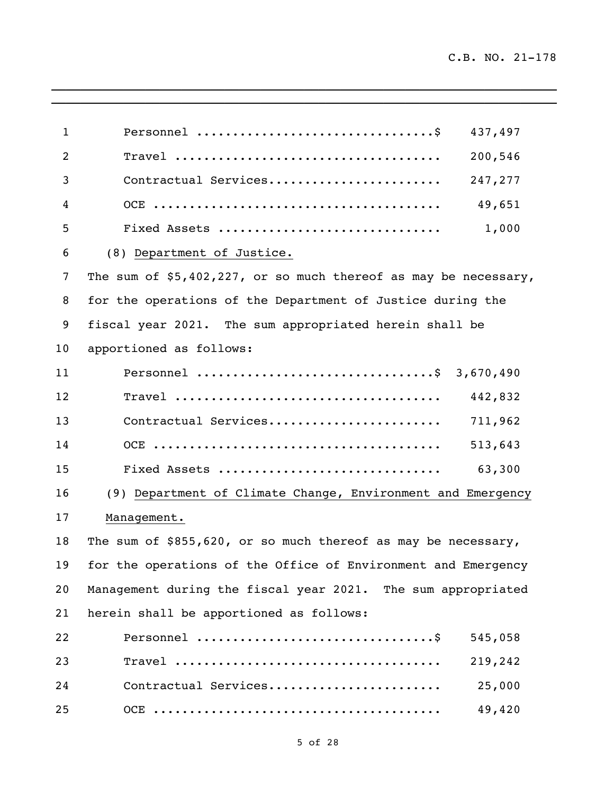| $\mathbf{1}$    | 437,497                                                                                           |  |
|-----------------|---------------------------------------------------------------------------------------------------|--|
| $\overline{2}$  | 200,546                                                                                           |  |
| 3               | 247,277<br>Contractual Services                                                                   |  |
| 4               | 49,651                                                                                            |  |
| 5               | 1,000<br>Fixed Assets                                                                             |  |
| 6               | (8) Department of Justice.                                                                        |  |
| 7               | The sum of $$5,402,227$ , or so much thereof as may be necessary,                                 |  |
| 8               | for the operations of the Department of Justice during the                                        |  |
| 9               | fiscal year 2021. The sum appropriated herein shall be                                            |  |
| 10 <sub>1</sub> | apportioned as follows:                                                                           |  |
| 11              | 3,670,490                                                                                         |  |
| 12              | $Travel \dots \dots \dots \dots \dots \dots \dots \dots \dots \dots \dots \dots \dots$<br>442,832 |  |
| 13              | Contractual Services<br>711,962                                                                   |  |
| 14              | 513,643                                                                                           |  |
| 15              | Fixed Assets<br>63,300                                                                            |  |
| 16              | (9) Department of Climate Change, Environment and Emergency                                       |  |
| 17              | Management.                                                                                       |  |
| 18              | The sum of \$855,620, or so much thereof as may be necessary,                                     |  |
| 19              | for the operations of the Office of Environment and Emergency                                     |  |
| 20              | Management during the fiscal year 2021. The sum appropriated                                      |  |
| 21              | herein shall be apportioned as follows:                                                           |  |
| 22              | 545,058                                                                                           |  |
| 23              | 219,242                                                                                           |  |
| 24              | Contractual Services<br>25,000                                                                    |  |
| 25              | 49,420                                                                                            |  |

\_\_\_\_\_\_\_\_\_\_\_\_\_\_\_\_\_\_\_\_\_\_\_\_\_\_\_\_\_\_\_\_\_\_\_\_\_\_\_\_\_\_\_\_\_\_\_\_\_\_\_\_\_\_\_\_\_\_\_\_\_\_\_\_\_\_\_\_\_\_  $\ldots$  . The contribution of the contribution of the contribution of the contribution of the contribution of the contribution of the contribution of the contribution of the contribution of the contribution of the contribut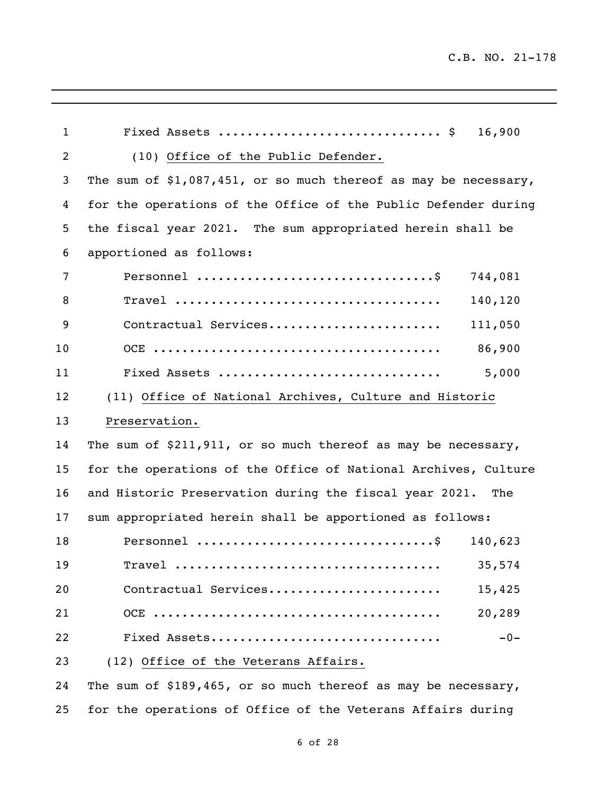| $\mathbf{1}$   | 16,900                                                                                     |
|----------------|--------------------------------------------------------------------------------------------|
| $\overline{2}$ | (10) Office of the Public Defender.                                                        |
| 3              | The sum of $$1,087,451$ , or so much thereof as may be necessary,                          |
| 4              | for the operations of the Office of the Public Defender during                             |
| 5              | the fiscal year 2021. The sum appropriated herein shall be                                 |
| 6              | apportioned as follows:                                                                    |
| $\overline{7}$ | 744,081                                                                                    |
| 8              | 140,120                                                                                    |
| 9              | Contractual Services<br>111,050                                                            |
| 10             | 86,900                                                                                     |
| 11             | 5,000<br>Fixed Assets                                                                      |
| 12             | (11) Office of National Archives, Culture and Historic                                     |
| 13             | Preservation.                                                                              |
| 14             | The sum of \$211,911, or so much thereof as may be necessary,                              |
| 15             | for the operations of the Office of National Archives, Culture                             |
| 16             | and Historic Preservation during the fiscal year 2021. The                                 |
| 17             | sum appropriated herein shall be apportioned as follows:                                   |
| 18             | 140,623                                                                                    |
| 19             | 35,574<br>$Travel \dots \dots \dots \dots \dots \dots \dots \dots \dots \dots \dots \dots$ |
| 20             | Contractual Services<br>15,425                                                             |
| 21             | 20,289                                                                                     |
| 22             | Fixed Assets<br>$-0-$                                                                      |
| 23             | (12) Office of the Veterans Affairs.                                                       |
| 24             | The sum of \$189,465, or so much thereof as may be necessary,                              |

\_\_\_\_\_\_\_\_\_\_\_\_\_\_\_\_\_\_\_\_\_\_\_\_\_\_\_\_\_\_\_\_\_\_\_\_\_\_\_\_\_\_\_\_\_\_\_\_\_\_\_\_\_\_\_\_\_\_\_\_\_\_\_\_\_\_\_\_\_\_

for the operations of Office of the Veterans Affairs during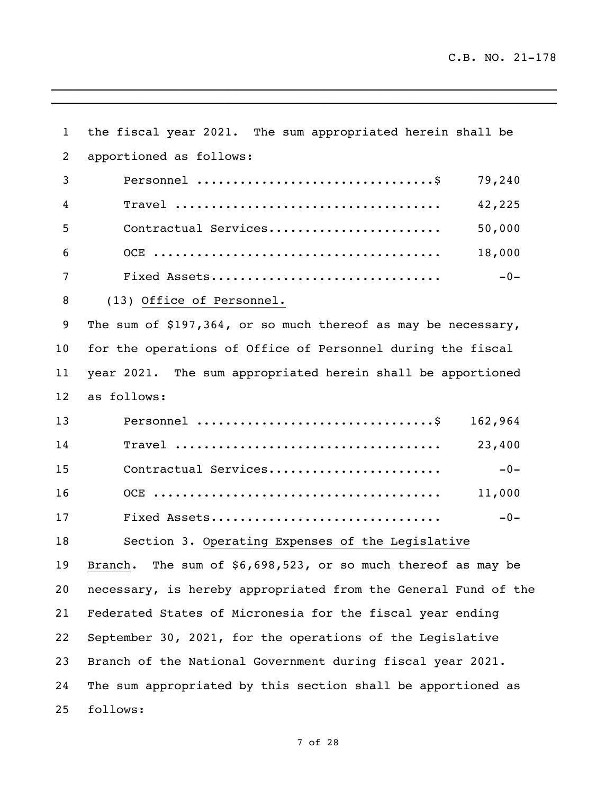$\mathcal{L}_\text{max} = \mathcal{L}_\text{max} = \mathcal{L}_\text{max} = \mathcal{L}_\text{max} = \mathcal{L}_\text{max} = \mathcal{L}_\text{max} = \mathcal{L}_\text{max} = \mathcal{L}_\text{max} = \mathcal{L}_\text{max} = \mathcal{L}_\text{max} = \mathcal{L}_\text{max} = \mathcal{L}_\text{max} = \mathcal{L}_\text{max} = \mathcal{L}_\text{max} = \mathcal{L}_\text{max} = \mathcal{L}_\text{max} = \mathcal{L}_\text{max} = \mathcal{L}_\text{max} = \mathcal{$ 

| $\mathbf{1}$    | the fiscal year 2021. The sum appropriated herein shall be                                       |
|-----------------|--------------------------------------------------------------------------------------------------|
| 2               | apportioned as follows:                                                                          |
| 3               | 79,240                                                                                           |
| 4               | $Travel \dots \dots \dots \dots \dots \dots \dots \dots \dots \dots \dots \dots \dots$<br>42,225 |
| 5               | 50,000<br>Contractual Services                                                                   |
| 6               | 18,000                                                                                           |
| 7               | Fixed Assets<br>$-0-$                                                                            |
| 8               | (13) Office of Personnel.                                                                        |
| 9               | The sum of \$197,364, or so much thereof as may be necessary,                                    |
| 10 <sub>o</sub> | for the operations of Office of Personnel during the fiscal                                      |
| 11              | year 2021. The sum appropriated herein shall be apportioned                                      |
| 12              | as follows:                                                                                      |
| 13              | 162,964                                                                                          |
| 14              | 23,400                                                                                           |
| 15              | Contractual Services<br>$-0-$                                                                    |
| 16              | 11,000                                                                                           |
| 17              | Fixed Assets<br>$-0-$                                                                            |
| 18              | Section 3. Operating Expenses of the Legislative                                                 |
| 19              | The sum of \$6,698,523, or so much thereof as may be<br>Branch.                                  |
| 20              | necessary, is hereby appropriated from the General Fund of the                                   |
| 21              | Federated States of Micronesia for the fiscal year ending                                        |
| 22              | September 30, 2021, for the operations of the Legislative                                        |
| 23              | Branch of the National Government during fiscal year 2021.                                       |
| 24              | The sum appropriated by this section shall be apportioned as                                     |
| 25              | follows:                                                                                         |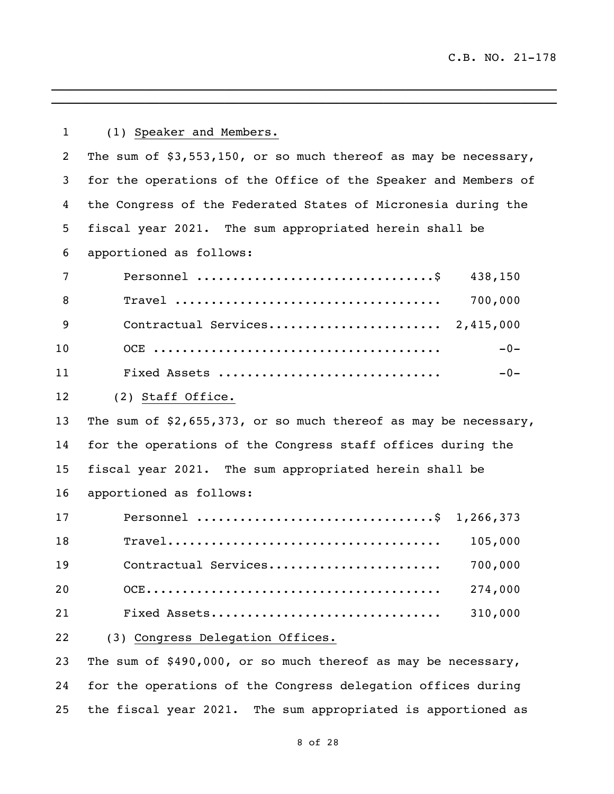| $\mathbf 1$ | (1) Speaker and Members.                                                                                  |
|-------------|-----------------------------------------------------------------------------------------------------------|
| 2           | The sum of $$3,553,150$ , or so much thereof as may be necessary,                                         |
| 3           | for the operations of the Office of the Speaker and Members of                                            |
| 4           | the Congress of the Federated States of Micronesia during the                                             |
| 5           | fiscal year 2021. The sum appropriated herein shall be                                                    |
| 6           | apportioned as follows:                                                                                   |
| 7           | 438,150                                                                                                   |
| 8           | $\texttt{True}$<br>700,000                                                                                |
| 9           |                                                                                                           |
| 10          | $-0-$                                                                                                     |
| 11          | $-0-$<br>Fixed Assets                                                                                     |
| 12          | (2) Staff Office.                                                                                         |
| 13          | The sum of $$2,655,373$ , or so much thereof as may be necessary,                                         |
| 14          | for the operations of the Congress staff offices during the                                               |
| 15          | fiscal year 2021. The sum appropriated herein shall be                                                    |
| 16          | apportioned as follows:                                                                                   |
| 17          | Personnel \$ 1,266,373                                                                                    |
| 18          | $\texttt{True}1 \dots \dots \dots \dots \dots \dots \dots \dots \dots \dots \dots \dots \dots$<br>105,000 |
| 19          | 700,000<br>Contractual Services                                                                           |
| 20          | 274,000                                                                                                   |
| 21          | 310,000<br>Fixed Assets                                                                                   |
| 22          | (3) Congress Delegation Offices.                                                                          |
| 23          | The sum of \$490,000, or so much thereof as may be necessary,                                             |
| 24          | for the operations of the Congress delegation offices during                                              |

 $\mathcal{L}_\mathcal{L} = \mathcal{L}_\mathcal{L} = \mathcal{L}_\mathcal{L} = \mathcal{L}_\mathcal{L} = \mathcal{L}_\mathcal{L} = \mathcal{L}_\mathcal{L} = \mathcal{L}_\mathcal{L} = \mathcal{L}_\mathcal{L} = \mathcal{L}_\mathcal{L} = \mathcal{L}_\mathcal{L} = \mathcal{L}_\mathcal{L} = \mathcal{L}_\mathcal{L} = \mathcal{L}_\mathcal{L} = \mathcal{L}_\mathcal{L} = \mathcal{L}_\mathcal{L} = \mathcal{L}_\mathcal{L} = \mathcal{L}_\mathcal{L}$ 

the fiscal year 2021. The sum appropriated is apportioned as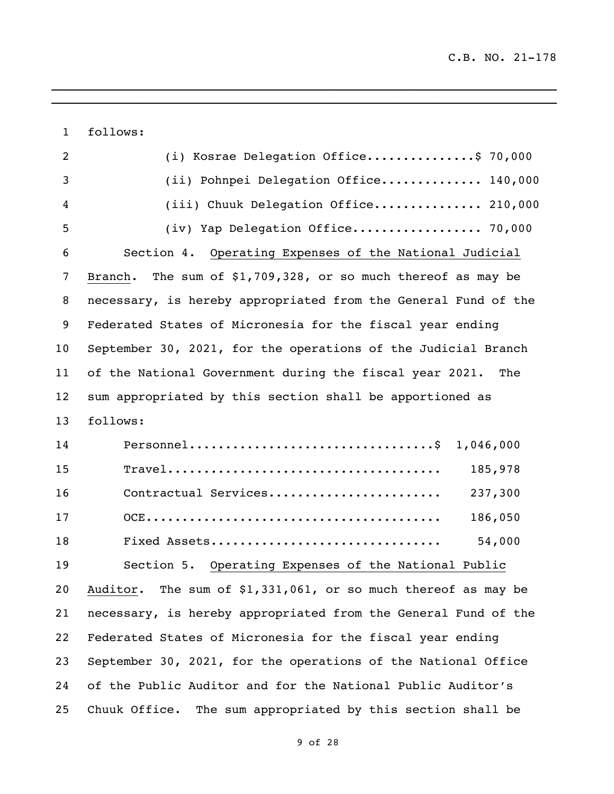follows:

| $\overline{2}$ | (i) Kosrae Delegation Office\$ 70,000                                                                      |
|----------------|------------------------------------------------------------------------------------------------------------|
| 3              | (ii) Pohnpei Delegation Office 140,000                                                                     |
| 4              | (iii) Chuuk Delegation Office 210,000                                                                      |
| 5              | (iv) Yap Delegation Office 70,000                                                                          |
| 6              | Section 4. Operating Expenses of the National Judicial                                                     |
| 7              | The sum of $$1,709,328$ , or so much thereof as may be<br>Branch.                                          |
| 8              | necessary, is hereby appropriated from the General Fund of the                                             |
| 9              | Federated States of Micronesia for the fiscal year ending                                                  |
| 10             | September 30, 2021, for the operations of the Judicial Branch                                              |
| 11             | of the National Government during the fiscal year 2021. The                                                |
| 12             | sum appropriated by this section shall be apportioned as                                                   |
| 13             | follows:                                                                                                   |
| 14             | $Personnel \ldots \ldots \ldots \ldots \ldots \ldots \ldots \ldots \ldots \$<br>1,046,000                  |
| 15             | 185,978<br>$\texttt{Travel} \dots \dots \dots \dots \dots \dots \dots \dots \dots \dots \dots \dots \dots$ |
| 16             | 237,300<br>Contractual Services                                                                            |
| 17             | 186,050                                                                                                    |
| 18             | 54,000<br>Fixed Assets                                                                                     |
| 19             | Section 5. Operating Expenses of the National Public                                                       |
| 20             | Auditor. The sum of \$1,331,061, or so much thereof as may be                                              |
| 21             | necessary, is hereby appropriated from the General Fund of the                                             |
| 22             | Federated States of Micronesia for the fiscal year ending                                                  |
| 23             | September 30, 2021, for the operations of the National Office                                              |
| 24             | of the Public Auditor and for the National Public Auditor's                                                |
| 25             | The sum appropriated by this section shall be<br>Chuuk Office.                                             |

 $\overline{a_1}$  ,  $\overline{a_2}$  ,  $\overline{a_3}$  ,  $\overline{a_4}$  ,  $\overline{a_5}$  ,  $\overline{a_6}$  ,  $\overline{a_7}$  ,  $\overline{a_8}$  ,  $\overline{a_9}$  ,  $\overline{a_9}$  ,  $\overline{a_9}$  ,  $\overline{a_9}$  ,  $\overline{a_9}$  ,  $\overline{a_9}$  ,  $\overline{a_9}$  ,  $\overline{a_9}$  ,  $\overline{a_9}$  ,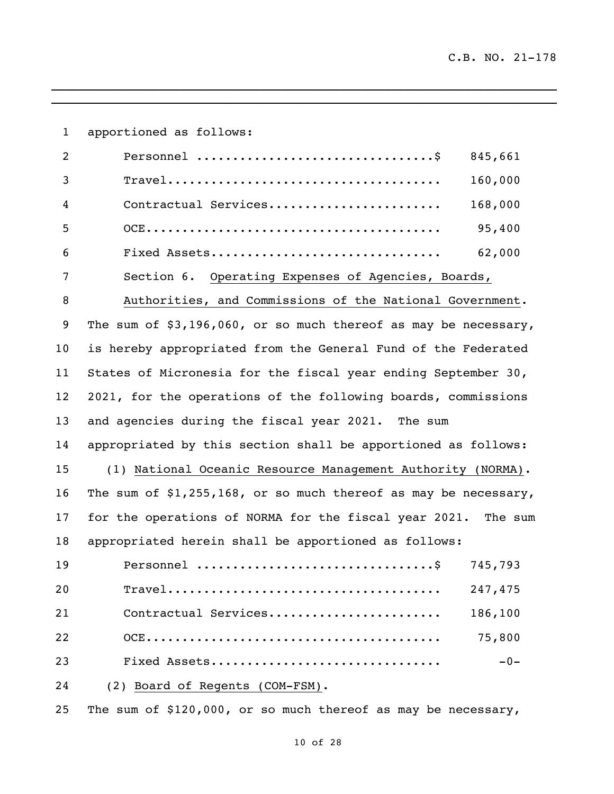| $\mathbf{1}$    | apportioned as follows:                                                                 |         |
|-----------------|-----------------------------------------------------------------------------------------|---------|
| $\overline{2}$  |                                                                                         | 845,661 |
| 3               | $\texttt{Travel}\dots\dots\dots\dots\dots\dots\dots\dots\dots\dots\dots\dots\dots\dots$ | 160,000 |
| 4               | Contractual Services                                                                    | 168,000 |
| 5               |                                                                                         | 95,400  |
| 6               | Fixed Assets                                                                            | 62,000  |
| 7               | Section 6. Operating Expenses of Agencies, Boards,                                      |         |
| 8               | Authorities, and Commissions of the National Government.                                |         |
| 9               | The sum of \$3,196,060, or so much thereof as may be necessary,                         |         |
| 10 <sub>o</sub> | is hereby appropriated from the General Fund of the Federated                           |         |
| 11              | States of Micronesia for the fiscal year ending September 30,                           |         |
| 12              | 2021, for the operations of the following boards, commissions                           |         |
| 13              | and agencies during the fiscal year 2021. The sum                                       |         |
| 14              | appropriated by this section shall be apportioned as follows:                           |         |
| 15              | (1) National Oceanic Resource Management Authority (NORMA).                             |         |
| 16              | The sum of $$1,255,168$ , or so much thereof as may be necessary,                       |         |
| 17              | for the operations of NORMA for the fiscal year 2021.                                   | The sum |
| 18              | appropriated herein shall be apportioned as follows:                                    |         |
| 19              |                                                                                         | 745,793 |
| 20              |                                                                                         | 247,475 |
| 21              | Contractual Services                                                                    | 186,100 |
| 22              |                                                                                         | 75,800  |
| 23              | Fixed Assets                                                                            | $-0-$   |
| 24              | (2) Board of Regents (COM-FSM).                                                         |         |

 $\mathcal{L}_\mathcal{L} = \mathcal{L}_\mathcal{L} = \mathcal{L}_\mathcal{L} = \mathcal{L}_\mathcal{L} = \mathcal{L}_\mathcal{L} = \mathcal{L}_\mathcal{L} = \mathcal{L}_\mathcal{L} = \mathcal{L}_\mathcal{L} = \mathcal{L}_\mathcal{L} = \mathcal{L}_\mathcal{L} = \mathcal{L}_\mathcal{L} = \mathcal{L}_\mathcal{L} = \mathcal{L}_\mathcal{L} = \mathcal{L}_\mathcal{L} = \mathcal{L}_\mathcal{L} = \mathcal{L}_\mathcal{L} = \mathcal{L}_\mathcal{L}$ 

The sum of \$120,000, or so much thereof as may be necessary,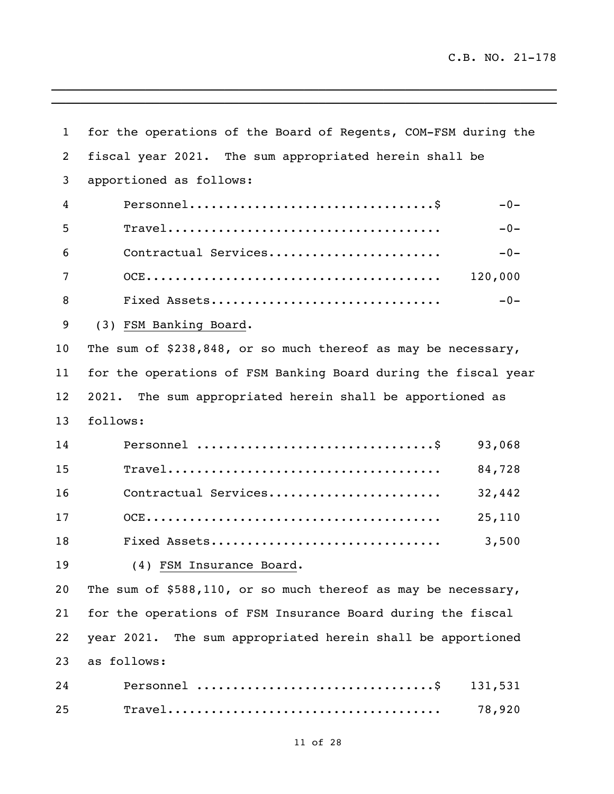| $\mathbf{1}$   | for the operations of the Board of Regents, COM-FSM during the                                                |  |
|----------------|---------------------------------------------------------------------------------------------------------------|--|
| $\overline{2}$ | fiscal year 2021. The sum appropriated herein shall be                                                        |  |
| 3              | apportioned as follows:                                                                                       |  |
| 4              | $Personnel \ldots \ldots \ldots \ldots \ldots \ldots \ldots \ldots \ldots \$<br>$-0-$                         |  |
| 5              | $\texttt{True}1 \dots \dots \dots \dots \dots \dots \dots \dots \dots \dots \dots \dots \dots \dots$<br>$-0-$ |  |
| 6              | Contractual Services<br>$-0-$                                                                                 |  |
| 7              | 120,000                                                                                                       |  |
| 8              | Fixed Assets<br>$-0-$                                                                                         |  |
| 9              | (3) FSM Banking Board.                                                                                        |  |
| 10             | The sum of \$238,848, or so much thereof as may be necessary,                                                 |  |
| 11             | for the operations of FSM Banking Board during the fiscal year                                                |  |
| 12             | The sum appropriated herein shall be apportioned as<br>2021.                                                  |  |
| 13             | follows:                                                                                                      |  |
| 14             | 93,068                                                                                                        |  |
| 15             | 84,728                                                                                                        |  |
| 16             | Contractual Services<br>32,442                                                                                |  |
| 17             | 25,110                                                                                                        |  |
| 18             | Fixed Assets<br>3,500                                                                                         |  |
| 19             | (4) FSM Insurance Board.                                                                                      |  |
| 20             | The sum of \$588,110, or so much thereof as may be necessary,                                                 |  |
| 21             | for the operations of FSM Insurance Board during the fiscal                                                   |  |
| 22             | year 2021. The sum appropriated herein shall be apportioned                                                   |  |
| 23             | as follows:                                                                                                   |  |
| 24             | 131,531                                                                                                       |  |
| 25             | 78,920                                                                                                        |  |

\_\_\_\_\_\_\_\_\_\_\_\_\_\_\_\_\_\_\_\_\_\_\_\_\_\_\_\_\_\_\_\_\_\_\_\_\_\_\_\_\_\_\_\_\_\_\_\_\_\_\_\_\_\_\_\_\_\_\_\_\_\_\_\_\_\_\_\_\_\_  $\overline{\phantom{a}}$  , and the contribution of the contribution of the contribution of the contribution of the contribution of the contribution of the contribution of the contribution of the contribution of the contribution of the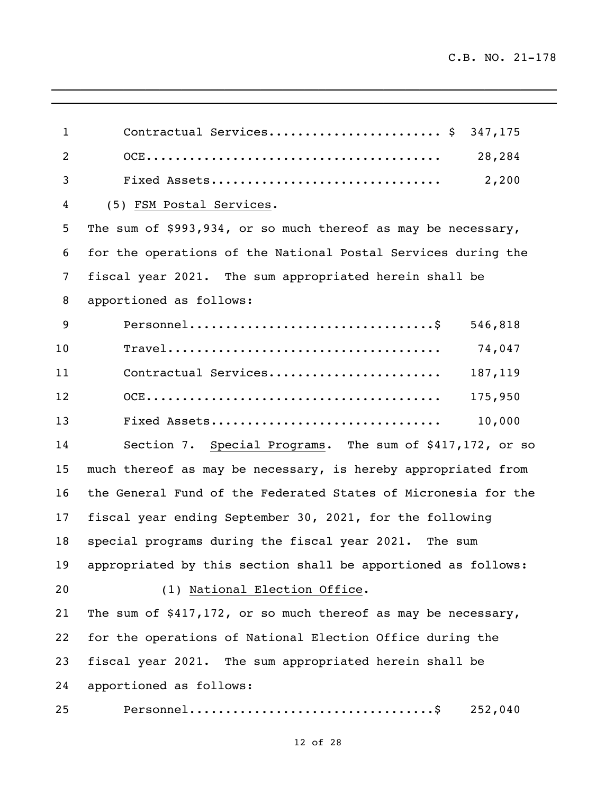```
1 Contractual Services............................. $ 347,175
2 OCE......................................... 28,284 
3 Fixed Assets................................ 2,200 
4 (5) FSM Postal Services.
5 The sum of $993,934, or so much thereof as may be necessary, 
6 for the operations of the National Postal Services during the 
7 fiscal year 2021. The sum appropriated herein shall be 
8 apportioned as follows:
9 Personnel..................................$ 546,818 
10 Travel...................................... 74,047 
11 Contractual Services........................ 187,119
12 OCE......................................... 175,950
13 Fixed Assets................................ 10,000
14 Section 7. Special Programs. The sum of $417,172, or so 
15 much thereof as may be necessary, is hereby appropriated from 
16 the General Fund of the Federated States of Micronesia for the 
17 fiscal year ending September 30, 2021, for the following 
18 special programs during the fiscal year 2021. The sum 
19 appropriated by this section shall be apportioned as follows:
20 (1) National Election Office.
21 The sum of $417,172, or so much thereof as may be necessary, 
22 for the operations of National Election Office during the 
23 fiscal year 2021. The sum appropriated herein shall be 
24 apportioned as follows:
25 Personnel..................................$ 252,040
```
\_\_\_\_\_\_\_\_\_\_\_\_\_\_\_\_\_\_\_\_\_\_\_\_\_\_\_\_\_\_\_\_\_\_\_\_\_\_\_\_\_\_\_\_\_\_\_\_\_\_\_\_\_\_\_\_\_\_\_\_\_\_\_\_\_\_\_\_\_\_ \_\_\_\_\_\_\_\_\_\_\_\_\_\_\_\_\_\_\_\_\_\_\_\_\_\_\_\_\_\_\_\_\_\_\_\_\_\_\_\_\_\_\_\_\_\_\_\_\_\_\_\_\_\_\_\_\_\_\_\_\_\_\_\_\_\_\_\_\_\_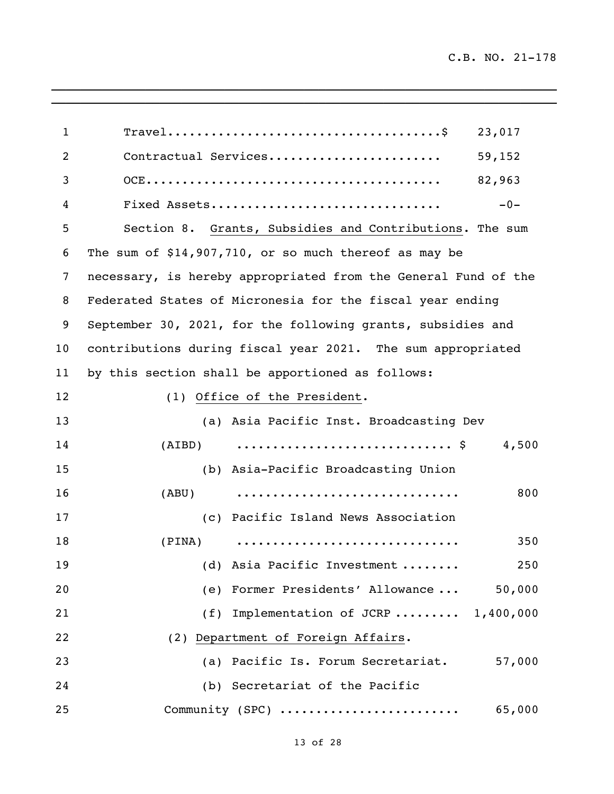| $\mathbf{1}$   | $\texttt{True}1 \dots \dots \dots \dots \dots \dots \dots \dots \dots \dots \dots \dots \dots \dots$<br>23,017 |
|----------------|----------------------------------------------------------------------------------------------------------------|
| $\overline{2}$ | 59,152<br>Contractual Services                                                                                 |
| 3              | 82,963                                                                                                         |
| 4              | Fixed Assets<br>$-0-$                                                                                          |
| 5              | Section 8. Grants, Subsidies and Contributions. The sum                                                        |
| 6              | The sum of \$14,907,710, or so much thereof as may be                                                          |
| 7              | necessary, is hereby appropriated from the General Fund of the                                                 |
| 8              | Federated States of Micronesia for the fiscal year ending                                                      |
| 9              | September 30, 2021, for the following grants, subsidies and                                                    |
| 10             | contributions during fiscal year 2021. The sum appropriated                                                    |
| 11             | by this section shall be apportioned as follows:                                                               |
| 12             | (1) Office of the President.                                                                                   |
| 13             | (a) Asia Pacific Inst. Broadcasting Dev                                                                        |
| 14             | 4,500<br>(AIBD)                                                                                                |
| 15             | (b) Asia-Pacific Broadcasting Union                                                                            |
| 16             | 800<br>(ABU)                                                                                                   |
| 17             | (c) Pacific Island News Association                                                                            |
| 18             | 350<br>(PINA)                                                                                                  |
| 19             | (d) Asia Pacific Investment<br>250                                                                             |
| 20             | (e) Former Presidents' Allowance<br>50,000                                                                     |
| 21             | (f) Implementation of JCRP $1,400,000$                                                                         |
| 22             | (2) Department of Foreign Affairs.                                                                             |
| 23             | (a) Pacific Is. Forum Secretariat.<br>57,000                                                                   |
| 24             | (b) Secretariat of the Pacific                                                                                 |
| 25             | Community (SPC)<br>65,000                                                                                      |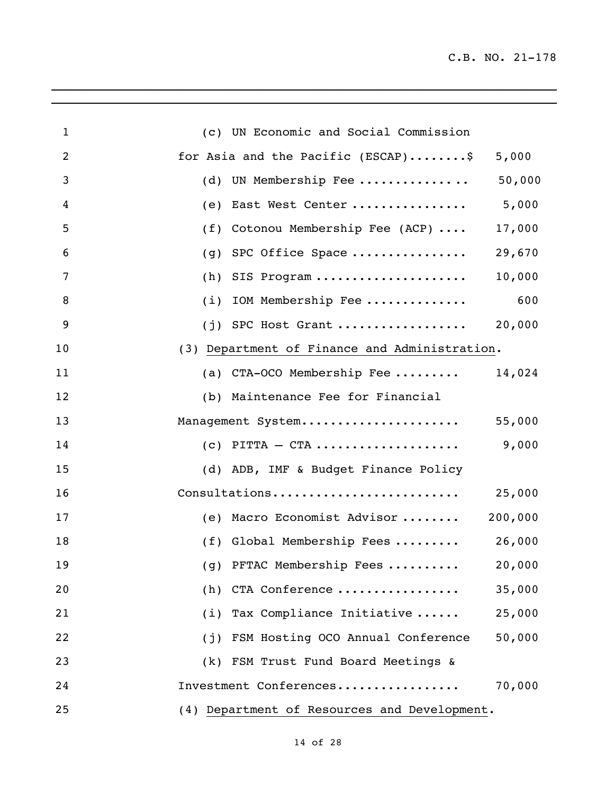| $\mathbf{1}$   | (c) UN Economic and Social Commission               |
|----------------|-----------------------------------------------------|
| $\overline{2}$ | for Asia and the Pacific (ESCAP)\$<br>5,000         |
| 3              | 50,000<br>(d) UN Membership Fee                     |
| 4              | 5,000<br>(e) East West Center                       |
| 5              | (f) Cotonou Membership Fee (ACP) $\ldots$<br>17,000 |
| 6              | 29,670<br>(g) SPC Office Space                      |
| 7              | 10,000<br>$(h)$ SIS Program                         |
| 8              | 600<br>$(i)$ IOM Membership Fee                     |
| 9              | 20,000<br>$(i)$ SPC Host Grant                      |
| 10             | (3) Department of Finance and Administration.       |
| 11             | (a) CTA-OCO Membership Fee<br>14,024                |
| 12             | (b) Maintenance Fee for Financial                   |
| 13             | 55,000<br>Management System                         |
| 14             | 9,000<br>$(c)$ PITTA $-$ CTA                        |
| 15             | (d) ADB, IMF & Budget Finance Policy                |
| 16             | Consultations<br>25,000                             |
| 17             | 200,000<br>(e) Macro Economist Advisor              |
| 18             | $(f)$ Global Membership Fees  26,000                |
| 19             | (g) PFTAC Membership Fees<br>20,000                 |
| 20             | (h) CTA Conference<br>35,000                        |
| 21             | (i) Tax Compliance Initiative<br>25,000             |
| 22             | (j) FSM Hosting OCO Annual Conference<br>50,000     |
| 23             | (k) FSM Trust Fund Board Meetings &                 |
| 24             | 70,000<br>Investment Conferences                    |
| 25             | (4) Department of Resources and Development.        |

 $\mathcal{L}_\mathcal{L} = \mathcal{L}_\mathcal{L} = \mathcal{L}_\mathcal{L} = \mathcal{L}_\mathcal{L} = \mathcal{L}_\mathcal{L} = \mathcal{L}_\mathcal{L} = \mathcal{L}_\mathcal{L} = \mathcal{L}_\mathcal{L} = \mathcal{L}_\mathcal{L} = \mathcal{L}_\mathcal{L} = \mathcal{L}_\mathcal{L} = \mathcal{L}_\mathcal{L} = \mathcal{L}_\mathcal{L} = \mathcal{L}_\mathcal{L} = \mathcal{L}_\mathcal{L} = \mathcal{L}_\mathcal{L} = \mathcal{L}_\mathcal{L}$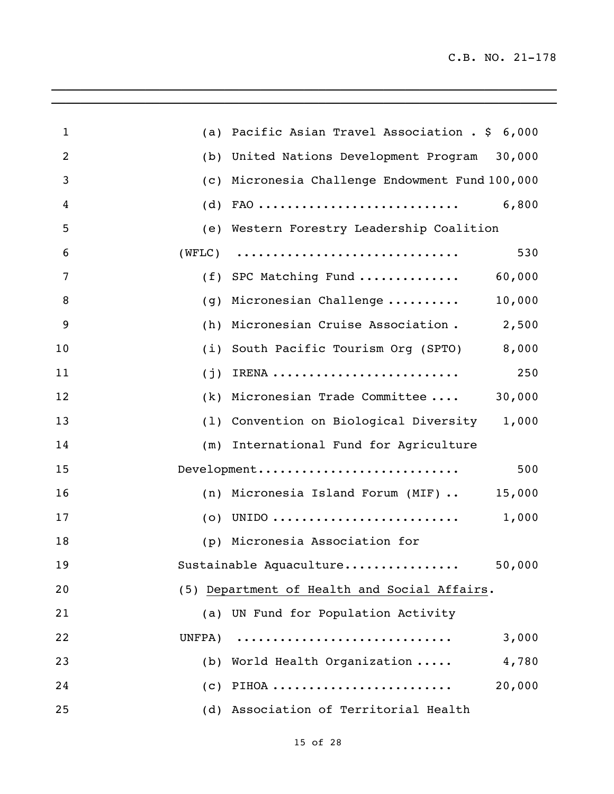| $\mathbf{1}$   |        | (a) Pacific Asian Travel Association . \$ 6,000                                       |        |
|----------------|--------|---------------------------------------------------------------------------------------|--------|
| $\overline{2}$ | (b)    | United Nations Development Program 30,000                                             |        |
| 3              |        | (c) Micronesia Challenge Endowment Fund 100,000                                       |        |
| 4              |        | $(d)$ FAO                                                                             | 6,800  |
| 5              |        | (e) Western Forestry Leadership Coalition                                             |        |
| 6              |        | $(WFLC) \qquad \ldots \ldots \ldots \ldots \ldots \ldots \ldots \ldots \ldots \ldots$ | 530    |
| 7              |        | $(f)$ SPC Matching Fund                                                               | 60,000 |
| 8              | (g)    | Micronesian Challenge                                                                 | 10,000 |
| 9              | (h)    | Micronesian Cruise Association.                                                       | 2,500  |
| 10             |        | (i) South Pacific Tourism Org (SPTO)                                                  | 8,000  |
| 11             | (j)    | IRENA                                                                                 | 250    |
| 12             |        | (k) Micronesian Trade Committee                                                       | 30,000 |
| 13             |        | (1) Convention on Biological Diversity 1,000                                          |        |
| 14             |        | (m) International Fund for Agriculture                                                |        |
| 15             |        | Development                                                                           | 500    |
| 16             |        | (n) Micronesia Island Forum (MIF)                                                     | 15,000 |
| 17             |        |                                                                                       | 1,000  |
| 18             |        | (p) Micronesia Association for                                                        |        |
| 19             |        | Sustainable Aquaculture                                                               | 50,000 |
| 20             |        | (5) Department of Health and Social Affairs.                                          |        |
| 21             |        | (a) UN Fund for Population Activity                                                   |        |
| 22             | UNFPA) |                                                                                       | 3,000  |
| 23             |        | (b) World Health Organization                                                         | 4,780  |
| 24             |        | $(c)$ PIHOA                                                                           | 20,000 |
| 25             |        | (d) Association of Territorial Health                                                 |        |

\_\_\_\_\_\_\_\_\_\_\_\_\_\_\_\_\_\_\_\_\_\_\_\_\_\_\_\_\_\_\_\_\_\_\_\_\_\_\_\_\_\_\_\_\_\_\_\_\_\_\_\_\_\_\_\_\_\_\_\_\_\_\_\_\_\_\_\_\_\_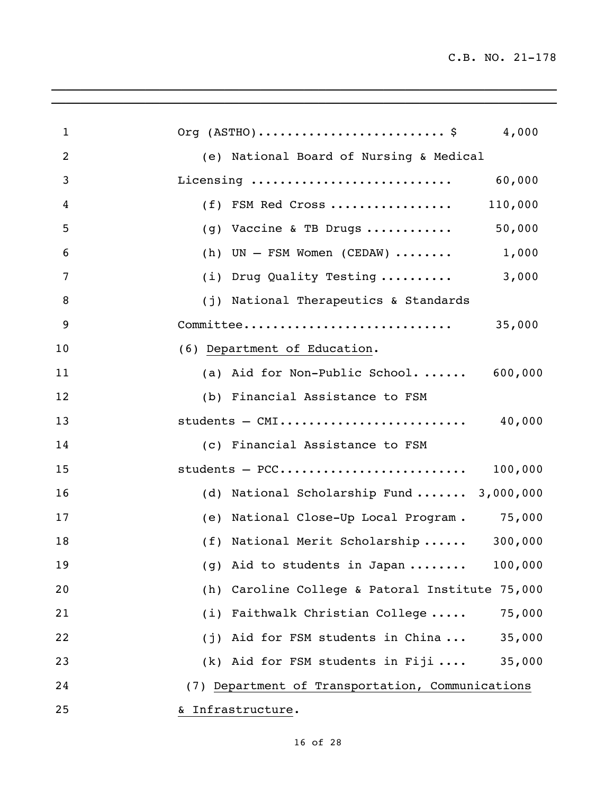| $\mathbf{1}$ | Org $(ASTHO) \ldots \ldots \ldots \ldots \ldots \ldots \ldots$ \$<br>4,000 |
|--------------|----------------------------------------------------------------------------|
| 2            | (e) National Board of Nursing & Medical                                    |
| 3            | Licensing<br>60,000                                                        |
| 4            | 110,000<br>(f) FSM Red Cross                                               |
| 5            | (g) Vaccine & TB Drugs $50,000$                                            |
| 6            | (h) $UN - FSM$ Women (CEDAW)  1,000                                        |
| 7            | 3,000<br>(i) Drug Quality Testing                                          |
| 8            | (j) National Therapeutics & Standards                                      |
| 9            | Committee<br>35,000                                                        |
| 10           | (6) Department of Education.                                               |
| 11           | (a) Aid for Non-Public School $600,000$                                    |
| 12           | (b) Financial Assistance to FSM                                            |
| 13           | 40,000<br>students - CMI                                                   |
| 14           | (c) Financial Assistance to FSM                                            |
| 15           | 100,000                                                                    |
| 16           | (d) National Scholarship Fund  3,000,000                                   |
| 17           | (e) National Close-Up Local Program. 75,000                                |
| 18           | (f) National Merit Scholarship  300,000                                    |
| 19           | 100,000<br>(g) Aid to students in Japan                                    |
| 20           | (h) Caroline College & Patoral Institute 75,000                            |
| 21           | (i) Faithwalk Christian College<br>75,000                                  |
| 22           | (j) Aid for FSM students in China<br>35,000                                |
| 23           | (k) Aid for FSM students in Fiji<br>35,000                                 |
| 24           | (7) Department of Transportation, Communications                           |
| 25           | & Infrastructure.                                                          |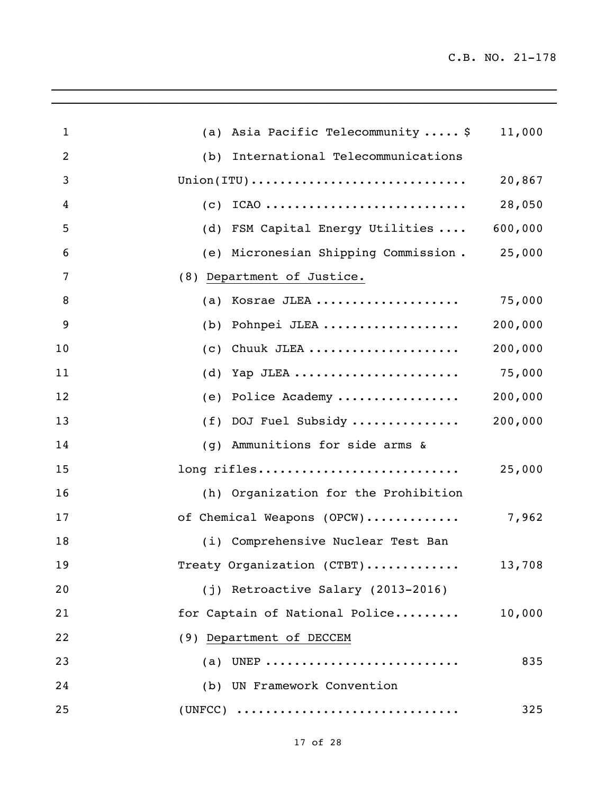| $\mathbf{1}$          | (a) Asia Pacific Telecommunity  \$                                          | 11,000  |
|-----------------------|-----------------------------------------------------------------------------|---------|
| $\overline{2}$<br>(b) | International Telecommunications                                            |         |
| 3                     | $Union(TTU) \ldots \ldots \ldots \ldots \ldots \ldots \ldots \ldots \ldots$ | 20,867  |
| 4<br>(C)              | $ICAO$                                                                      | 28,050  |
| 5<br>(d)              | FSM Capital Energy Utilities                                                | 600,000 |
| 6                     | (e) Micronesian Shipping Commission. 25,000                                 |         |
| 7                     | (8) Department of Justice.                                                  |         |
| 8<br>(a)              | Kosrae JLEA                                                                 | 75,000  |
| 9<br>(b)              | Pohnpei JLEA                                                                | 200,000 |
| 10<br>(c)             | Chuuk JLEA                                                                  | 200,000 |
| 11<br>(d)             | Yap JLEA                                                                    | 75,000  |
| 12<br>(e)             | Police Academy                                                              | 200,000 |
| 13<br>(f)             | DOJ Fuel Subsidy                                                            | 200,000 |
| 14<br>(q)             | Ammunitions for side arms &                                                 |         |
| 15                    | long rifles                                                                 | 25,000  |
| 16                    | (h) Organization for the Prohibition                                        |         |
| 17                    | of Chemical Weapons (OPCW)                                                  | 7,962   |
| 18                    | (i) Comprehensive Nuclear Test Ban                                          |         |
| 19                    | Treaty Organization (CTBT)                                                  | 13,708  |
| 20                    | (j) Retroactive Salary (2013-2016)                                          |         |
| 21                    | for Captain of National Police                                              | 10,000  |
| 22                    | (9) Department of DECCEM                                                    |         |
| 23                    | (a) UNEP                                                                    | 835     |
| 24                    | (b) UN Framework Convention                                                 |         |
| 25                    | $(UNFCC)$                                                                   | 325     |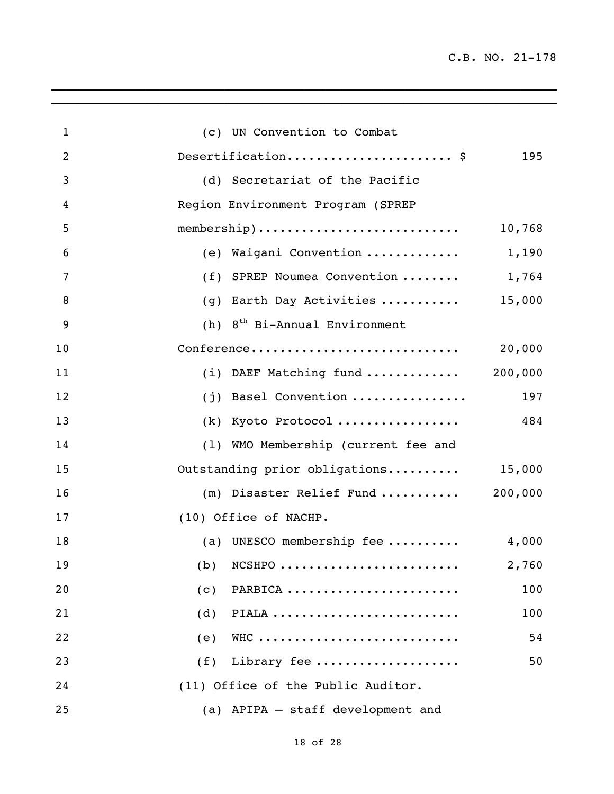| $\mathbf{1}$   | (c) UN Convention to Combat                  |
|----------------|----------------------------------------------|
| $\overline{2}$ | Desertification \$<br>195                    |
| 3              | (d) Secretariat of the Pacific               |
| 4              | Region Environment Program (SPREP            |
| 5              | membership)<br>10,768                        |
| 6              | (e) Waigani Convention<br>1,190              |
| 7              | (f) SPREP Noumea Convention<br>1,764         |
| 8              | 15,000<br>Earth Day Activities<br>(g)        |
| 9              | 8 <sup>th</sup> Bi-Annual Environment<br>(h) |
| 10             | Conference<br>20,000                         |
| 11             | $(i)$ DAEF Matching fund  200,000            |
| 12             | (j) Basel Convention<br>197                  |
| 13             | (k) Kyoto Protocol<br>484                    |
| 14             | (1) WMO Membership (current fee and          |
| 15             | Outstanding prior obligations 15,000         |
| 16             | $(m)$ Disaster Relief Fund  200,000          |
| 17             | (10) Office of NACHP.                        |
| 18             | (a) UNESCO membership fee<br>4,000           |
| 19             | 2,760<br>$(b)$ NCSHPO                        |
| 20             | PARBICA<br>100<br>(c)                        |
| 21             | PIALA<br>(d)<br>100                          |
| 22             | WHC<br>54<br>(e)                             |
| 23             | Library fee<br>50<br>(f)                     |
| 24             | (11) Office of the Public Auditor.           |
| 25             | (a) APIPA - staff development and            |

 $\mathcal{L}_\mathcal{L}$  , and the set of the set of the set of the set of the set of the set of the set of the set of the set of the set of the set of the set of the set of the set of the set of the set of the set of the set of th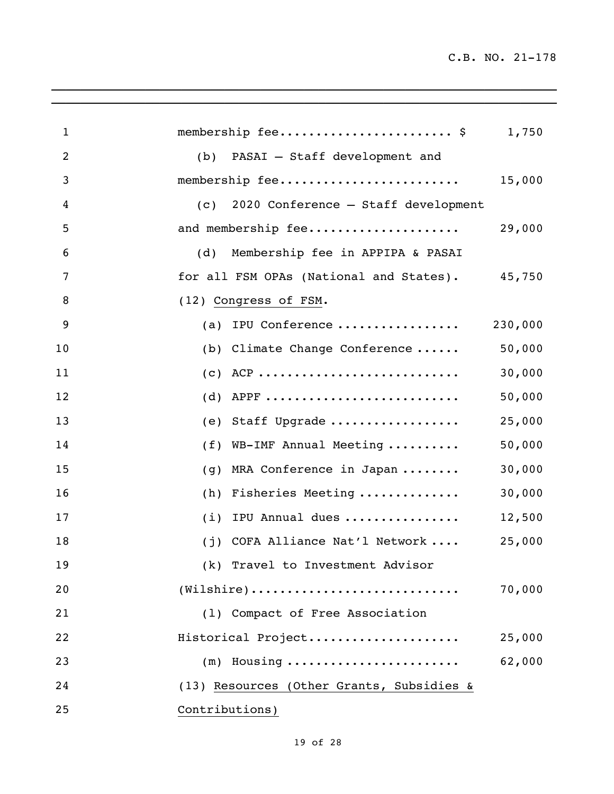| $\mathbf{1}$   | membership fee \$                                                           | 1,750   |
|----------------|-----------------------------------------------------------------------------|---------|
| $\overline{2}$ | (b) PASAI - Staff development and                                           |         |
| 3              | membership fee                                                              | 15,000  |
| 4              | 2020 Conference - Staff development<br>(C)                                  |         |
| 5              | and membership fee                                                          | 29,000  |
| 6              | Membership fee in APPIPA & PASAI<br>(d)                                     |         |
| 7              | for all FSM OPAs (National and States). 45,750                              |         |
| 8              | (12) Congress of FSM.                                                       |         |
| 9              | (a) IPU Conference                                                          | 230,000 |
| 10             | (b) Climate Change Conference                                               | 50,000  |
| 11             | $(c)$ ACP                                                                   | 30,000  |
| 12             | $(d)$ APPF                                                                  | 50,000  |
| 13             | (e) Staff Upgrade                                                           | 25,000  |
| 14             | (f) WB-IMF Annual Meeting                                                   | 50,000  |
| 15             | MRA Conference in Japan<br>(g)                                              | 30,000  |
| 16             | Fisheries Meeting<br>(h)                                                    | 30,000  |
| 17             | IPU Annual dues<br>(i)                                                      | 12,500  |
| 18             | (j) COFA Alliance Nat'l Network                                             | 25,000  |
| 19             | (k) Travel to Investment Advisor                                            |         |
| 20             | $(\texttt{Wilshire}) \dots \dots \dots \dots \dots \dots \dots \dots \dots$ | 70,000  |
| 21             | (1) Compact of Free Association                                             |         |
| 22             | Historical Project                                                          | 25,000  |
| 23             | $(m)$ Housing                                                               | 62,000  |
| 24             | (13) Resources (Other Grants, Subsidies &                                   |         |
| 25             | Contributions)                                                              |         |

 $\mathcal{L}_\mathcal{L}$  , and the set of the set of the set of the set of the set of the set of the set of the set of the set of the set of the set of the set of the set of the set of the set of the set of the set of the set of th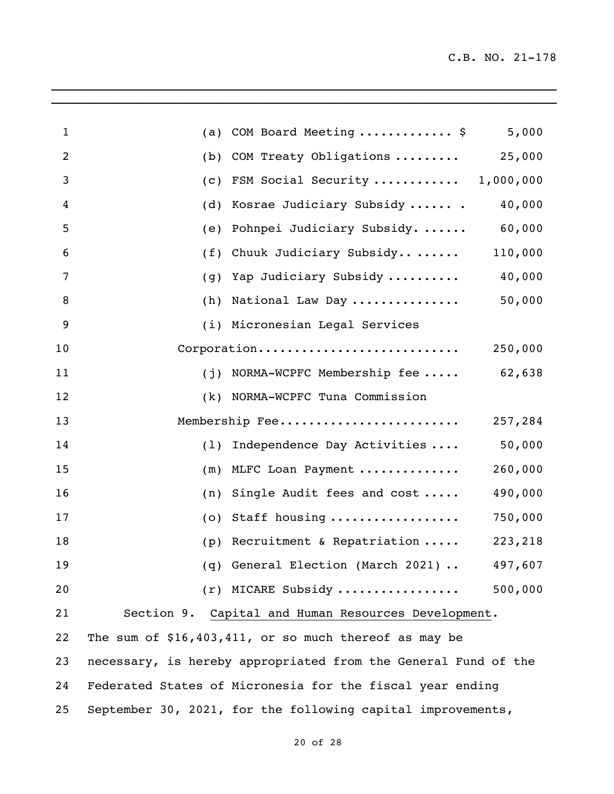| 1  | (a) | COM Board Meeting  \$                                          | 5,000   |
|----|-----|----------------------------------------------------------------|---------|
| 2  | (b) | COM Treaty Obligations  25,000                                 |         |
| 3  | (c) | FSM Social Security  1,000,000                                 |         |
| 4  | (d) | Kosrae Judiciary Subsidy  .                                    | 40,000  |
| 5  | (e) | Pohnpei Judiciary Subsidy.  60,000                             |         |
| 6  | (f) | Chuuk Judiciary Subsidy 110,000                                |         |
| 7  | (g) | Yap Judiciary Subsidy  40,000                                  |         |
| 8  | (h) | National Law Day                                               | 50,000  |
| 9  |     | (i) Micronesian Legal Services                                 |         |
| 10 |     | Corporation                                                    | 250,000 |
| 11 |     | $(j)$ NORMA-WCPFC Membership fee 62,638                        |         |
| 12 | (k) | NORMA-WCPFC Tuna Commission                                    |         |
| 13 |     | Membership Fee                                                 | 257,284 |
| 14 | (1) | Independence Day Activities                                    | 50,000  |
| 15 | (m) | MLFC Loan Payment                                              | 260,000 |
| 16 | (n) | Single Audit fees and cost                                     | 490,000 |
| 17 | (0) | Staff housing                                                  | 750,000 |
| 18 | (p) | Recruitment & Repatriation  223,218                            |         |
| 19 |     | (q) General Election (March 2021)                              | 497,607 |
| 20 |     | $(r)$ MICARE Subsidy                                           | 500,000 |
| 21 |     | Section 9. Capital and Human Resources Development.            |         |
| 22 |     | The sum of $$16,403,411$ , or so much thereof as may be        |         |
| 23 |     | necessary, is hereby appropriated from the General Fund of the |         |
| 24 |     | Federated States of Micronesia for the fiscal year ending      |         |
| 25 |     | September 30, 2021, for the following capital improvements,    |         |

 $\mathcal{L}_\mathcal{L}$  , and the set of the set of the set of the set of the set of the set of the set of the set of the set of the set of the set of the set of the set of the set of the set of the set of the set of the set of th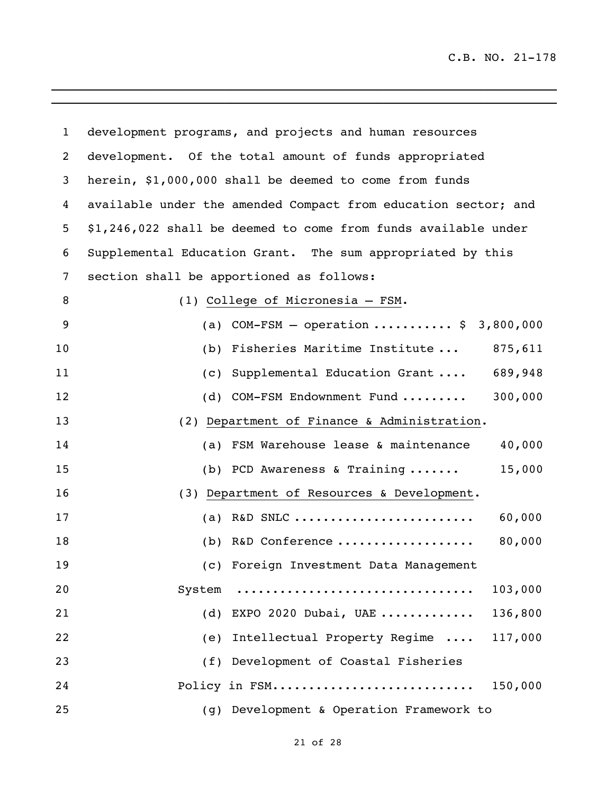| $\mathbf{1}$ | development programs, and projects and human resources         |
|--------------|----------------------------------------------------------------|
| 2            | development. Of the total amount of funds appropriated         |
| 3            | herein, \$1,000,000 shall be deemed to come from funds         |
| 4            | available under the amended Compact from education sector; and |
| 5            | \$1,246,022 shall be deemed to come from funds available under |
| 6            | Supplemental Education Grant. The sum appropriated by this     |
| 7            | section shall be apportioned as follows:                       |
| 8            | (1) College of Micronesia - FSM.                               |
| 9            | (a) COM-FSM - operation  \$ 3,800,000                          |
| 10           | (b) Fisheries Maritime Institute $875,611$                     |
| 11           | (c) Supplemental Education Grant  689,948                      |
| 12           | 300,000<br>(d) COM-FSM Endownment Fund                         |
| 13           | (2) Department of Finance & Administration.                    |
| 14           | 40,000<br>(a) FSM Warehouse lease & maintenance                |
| 15           | 15,000<br>(b) PCD Awareness & Training $\ldots \ldots$         |
| 16           | (3) Department of Resources & Development.                     |
| 17           | 60,000<br>(a) R&D SNLC                                         |
| 18           | 80,000<br>(b) R&D Conference                                   |
| 19           | (c) Foreign Investment Data Management                         |
| 20           | 103,000<br>System                                              |
| 21           | 136,800<br>(d) EXPO 2020 Dubai, UAE                            |
| 22           | 117,000<br>Intellectual Property Regime<br>(e)                 |
| 23           | (f) Development of Coastal Fisheries                           |
| 24           | Policy in FSM<br>150,000                                       |
| 25           | (g) Development & Operation Framework to                       |

 $\mathcal{L}_\mathcal{L} = \mathcal{L}_\mathcal{L} = \mathcal{L}_\mathcal{L} = \mathcal{L}_\mathcal{L} = \mathcal{L}_\mathcal{L} = \mathcal{L}_\mathcal{L} = \mathcal{L}_\mathcal{L} = \mathcal{L}_\mathcal{L} = \mathcal{L}_\mathcal{L} = \mathcal{L}_\mathcal{L} = \mathcal{L}_\mathcal{L} = \mathcal{L}_\mathcal{L} = \mathcal{L}_\mathcal{L} = \mathcal{L}_\mathcal{L} = \mathcal{L}_\mathcal{L} = \mathcal{L}_\mathcal{L} = \mathcal{L}_\mathcal{L}$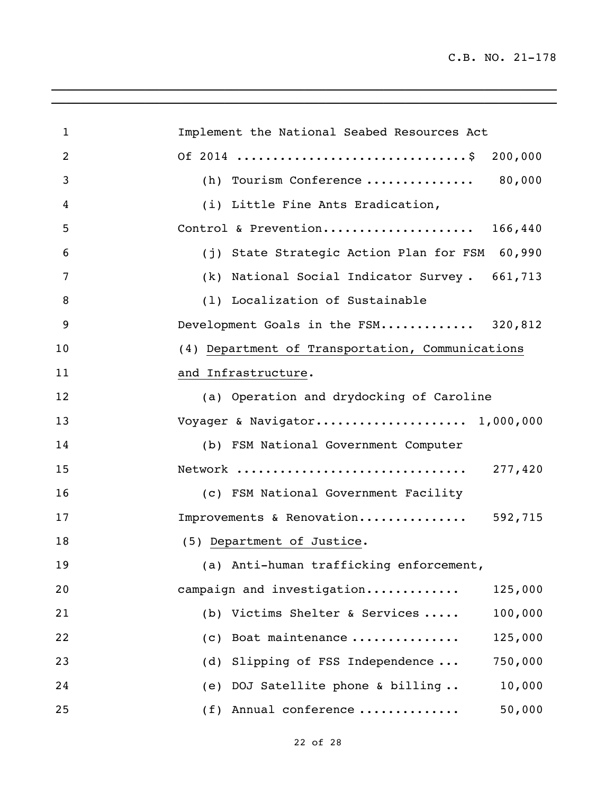| $\mathbf{1}$ | Implement the National Seabed Resources Act      |
|--------------|--------------------------------------------------|
| 2            | 200,000                                          |
| 3            | (h) Tourism Conference  80,000                   |
| 4            | (i) Little Fine Ants Eradication,                |
| 5            | Control & Prevention 166,440                     |
| 6            | (j) State Strategic Action Plan for FSM 60,990   |
| 7            | (k) National Social Indicator Survey. 661,713    |
| 8            | (1) Localization of Sustainable                  |
| 9            | Development Goals in the FSM 320,812             |
| 10           | (4) Department of Transportation, Communications |
| 11           | and Infrastructure.                              |
| 12           | (a) Operation and drydocking of Caroline         |
| 13           | Voyager & Navigator 1,000,000                    |
| 14           | (b) FSM National Government Computer             |
| 15           | 277,420<br>Network                               |
| 16           | (c) FSM National Government Facility             |
| 17           | Improvements & Renovation 592,715                |
| 18           | (5) Department of Justice.                       |
| 19           | (a) Anti-human trafficking enforcement,          |
| 20           | campaign and investigation<br>125,000            |
| 21           | (b) Victims Shelter & Services<br>100,000        |
| 22           | 125,000<br>Boat maintenance<br>(c)               |
| 23           | Slipping of FSS Independence<br>750,000<br>(d)   |
| 24           | DOJ Satellite phone & billing<br>10,000<br>(e)   |
| 25           | 50,000<br>(f) Annual conference                  |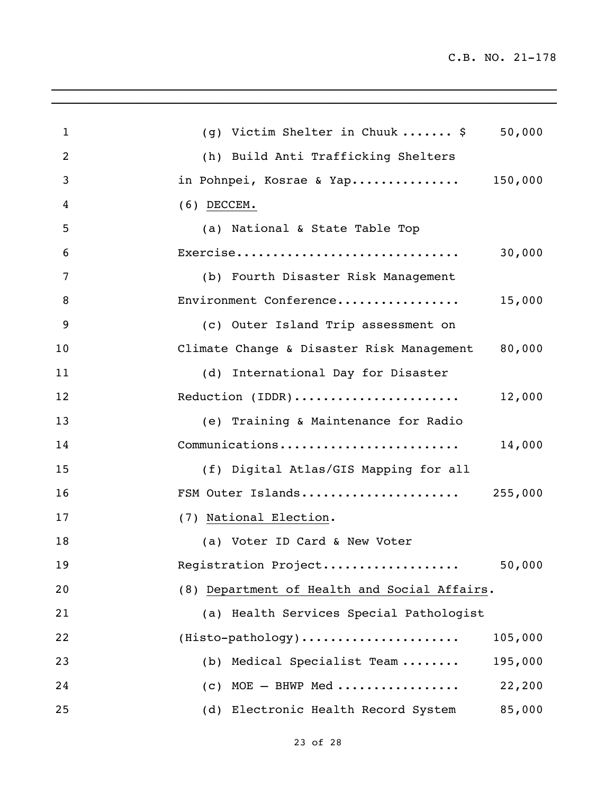| $\mathbf{1}$   | (g) Victim Shelter in Chuuk \$<br>50,000         |
|----------------|--------------------------------------------------|
| $\overline{2}$ | (h) Build Anti Trafficking Shelters              |
| 3              | in Pohnpei, Kosrae & Yap 150,000                 |
| 4              | $(6)$ DECCEM.                                    |
| 5              | (a) National & State Table Top                   |
| 6              | Exercise<br>30,000                               |
| 7              | (b) Fourth Disaster Risk Management              |
| 8              | Environment Conference<br>15,000                 |
| 9              | (c) Outer Island Trip assessment on              |
| 10             | Climate Change & Disaster Risk Management 80,000 |
| 11             | (d) International Day for Disaster               |
| 12             | Reduction (IDDR)<br>12,000                       |
| 13             | (e) Training & Maintenance for Radio             |
| 14             | Communications<br>14,000                         |
| 15             | (f) Digital Atlas/GIS Mapping for all            |
| 16             |                                                  |
| 17             | (7) National Election.                           |
| 18             | (a) Voter ID Card & New Voter                    |
| 19             | Registration Project<br>50,000                   |
| 20             | (8) Department of Health and Social Affairs.     |
| 21             | (a) Health Services Special Pathologist          |
| 22             | $(Histo-pathology)$<br>105,000                   |
| 23             | (b) Medical Specialist Team<br>195,000           |
| 24             | $(c)$ MOE $-$ BHWP Med<br>22,200                 |
| 25             | (d) Electronic Health Record System<br>85,000    |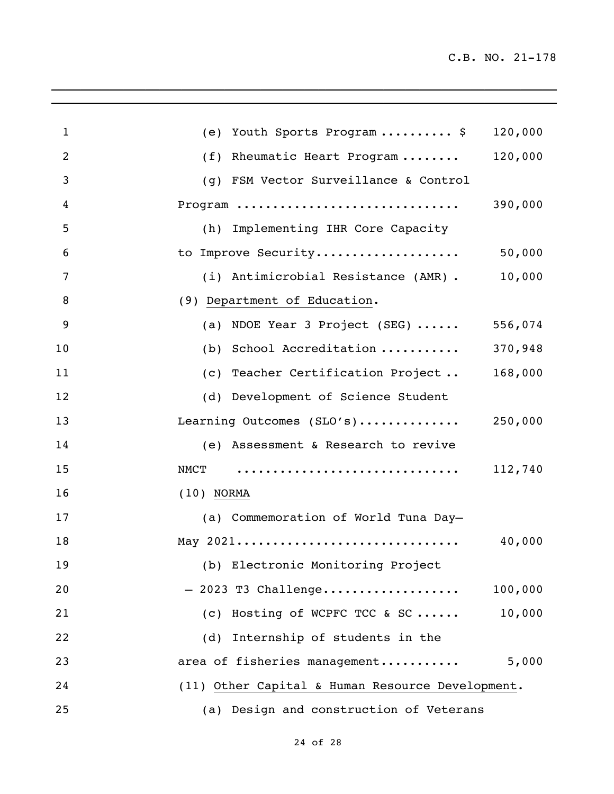| $\mathbf{1}$ | Youth Sports Program  \$<br>(e)                  | 120,000 |
|--------------|--------------------------------------------------|---------|
| 2            | (f)<br>Rheumatic Heart Program                   | 120,000 |
| 3            | (g) FSM Vector Surveillance & Control            |         |
| 4            | Program                                          | 390,000 |
| 5            | (h) Implementing IHR Core Capacity               |         |
| 6            | to Improve Security                              | 50,000  |
| 7            | (i) Antimicrobial Resistance (AMR).              | 10,000  |
| 8            | (9) Department of Education.                     |         |
| 9            | (a) NDOE Year 3 Project (SEG) $\cdots$           | 556,074 |
| 10           | (b) School Accreditation                         | 370,948 |
| 11           | (c) Teacher Certification Project                | 168,000 |
| 12           | (d) Development of Science Student               |         |
| 13           | Learning Outcomes (SLO's)                        | 250,000 |
| 14           | (e) Assessment & Research to revive              |         |
| 15           | NMCT                                             | 112,740 |
| 16           | $(10)$ NORMA                                     |         |
| 17           | (a) Commemoration of World Tuna Day-             |         |
| 18           | May 2021                                         | 40,000  |
| 19           | (b) Electronic Monitoring Project                |         |
| 20           | $-2023$ T3 Challenge                             | 100,000 |
| 21           | (c) Hosting of WCPFC TCC & SC                    | 10,000  |
| 22           | Internship of students in the<br>(d)             |         |
| 23           | area of fisheries management                     | 5,000   |
| 24           | (11) Other Capital & Human Resource Development. |         |
| 25           | (a) Design and construction of Veterans          |         |

\_\_\_\_\_\_\_\_\_\_\_\_\_\_\_\_\_\_\_\_\_\_\_\_\_\_\_\_\_\_\_\_\_\_\_\_\_\_\_\_\_\_\_\_\_\_\_\_\_\_\_\_\_\_\_\_\_\_\_\_\_\_\_\_\_\_\_\_\_\_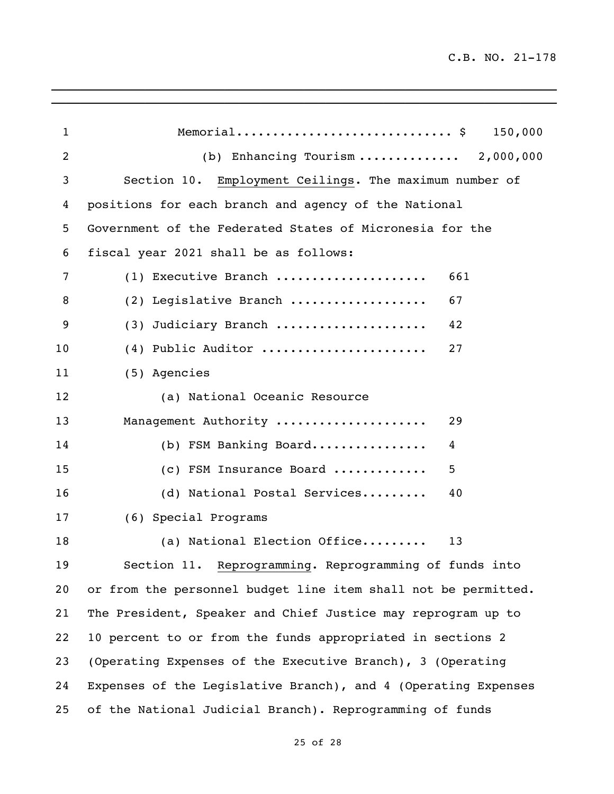| $\mathbf{1}$    | Memorial \$ 150,000                                            |
|-----------------|----------------------------------------------------------------|
| $\overline{2}$  | (b) Enhancing Tourism $2,000,000$                              |
| 3               | Section 10. Employment Ceilings. The maximum number of         |
| 4               | positions for each branch and agency of the National           |
| 5               | Government of the Federated States of Micronesia for the       |
| 6               | fiscal year 2021 shall be as follows:                          |
| 7               | (1) Executive Branch<br>661                                    |
| 8               | 67<br>(2) Legislative Branch                                   |
| 9               | (3) Judiciary Branch<br>42                                     |
| 10              | (4) Public Auditor<br>27                                       |
| 11              | (5) Agencies                                                   |
| 12              | (a) National Oceanic Resource                                  |
| 13              | Management Authority<br>29                                     |
| 14              | (b) FSM Banking Board<br>4                                     |
| 15              | 5<br>(c) FSM Insurance Board                                   |
| 16              | (d) National Postal Services<br>40                             |
| 17              | (6) Special Programs                                           |
| 18              | (a) National Election Office<br>13                             |
| 19              | Section 11. Reprogramming. Reprogramming of funds into         |
| 20 <sub>o</sub> | or from the personnel budget line item shall not be permitted. |
| 21              | The President, Speaker and Chief Justice may reprogram up to   |
| 22              | 10 percent to or from the funds appropriated in sections 2     |
| 23              | (Operating Expenses of the Executive Branch), 3 (Operating     |
| 24              | Expenses of the Legislative Branch), and 4 (Operating Expenses |
| 25              | of the National Judicial Branch). Reprogramming of funds       |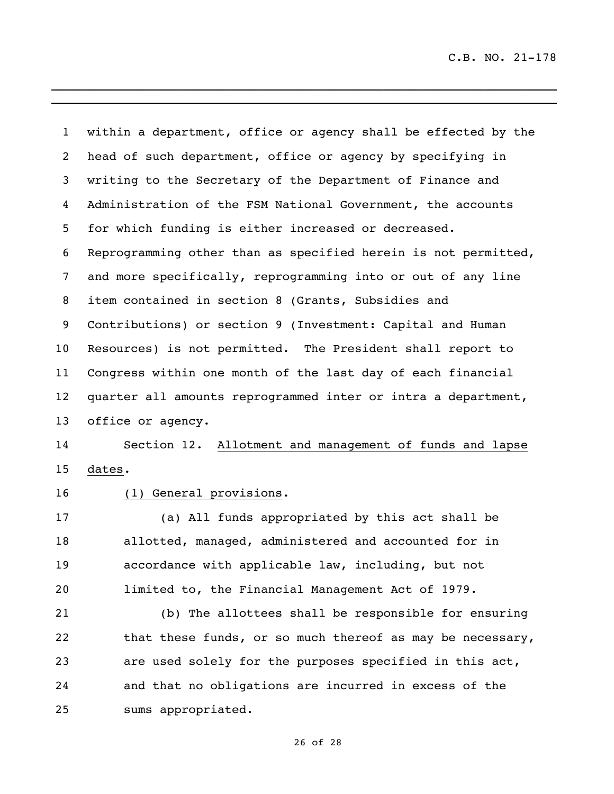within a department, office or agency shall be effected by the head of such department, office or agency by specifying in writing to the Secretary of the Department of Finance and Administration of the FSM National Government, the accounts for which funding is either increased or decreased. Reprogramming other than as specified herein is not permitted, and more specifically, reprogramming into or out of any line item contained in section 8 (Grants, Subsidies and Contributions) or section 9 (Investment: Capital and Human Resources) is not permitted. The President shall report to Congress within one month of the last day of each financial quarter all amounts reprogrammed inter or intra a department, office or agency. Section 12. Allotment and management of funds and lapse dates. (1) General provisions. (a) All funds appropriated by this act shall be allotted, managed, administered and accounted for in accordance with applicable law, including, but not limited to, the Financial Management Act of 1979. (b) The allottees shall be responsible for ensuring 22 that these funds, or so much thereof as may be necessary,

\_\_\_\_\_\_\_\_\_\_\_\_\_\_\_\_\_\_\_\_\_\_\_\_\_\_\_\_\_\_\_\_\_\_\_\_\_\_\_\_\_\_\_\_\_\_\_\_\_\_\_\_\_\_\_\_\_\_\_\_\_\_\_\_\_\_\_\_\_\_ \_\_\_\_\_\_\_\_\_\_\_\_\_\_\_\_\_\_\_\_\_\_\_\_\_\_\_\_\_\_\_\_\_\_\_\_\_\_\_\_\_\_\_\_\_\_\_\_\_\_\_\_\_\_\_\_\_\_\_\_\_\_\_\_\_\_\_\_\_\_

 are used solely for the purposes specified in this act, and that no obligations are incurred in excess of the sums appropriated.

of 28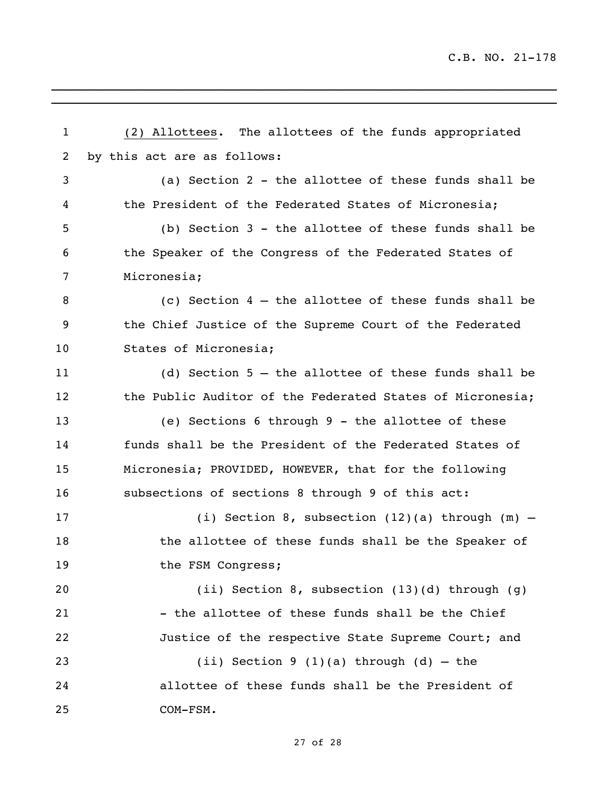(2) Allottees. The allottees of the funds appropriated by this act are as follows: (a) Section 2 - the allottee of these funds shall be the President of the Federated States of Micronesia; (b) Section 3 - the allottee of these funds shall be the Speaker of the Congress of the Federated States of Micronesia; (c) Section 4 – the allottee of these funds shall be the Chief Justice of the Supreme Court of the Federated States of Micronesia; (d) Section 5 – the allottee of these funds shall be the Public Auditor of the Federated States of Micronesia; (e) Sections 6 through 9 - the allottee of these funds shall be the President of the Federated States of Micronesia; PROVIDED, HOWEVER, that for the following subsections of sections 8 through 9 of this act: (i) Section 8, subsection (12)(a) through (m) – the allottee of these funds shall be the Speaker of 19 the FSM Congress; (ii) Section 8, subsection (13)(d) through (g) 21 - the allottee of these funds shall be the Chief Justice of the respective State Supreme Court; and 23 (ii) Section 9 (1)(a) through (d)  $-$  the allottee of these funds shall be the President of COM-FSM.

\_\_\_\_\_\_\_\_\_\_\_\_\_\_\_\_\_\_\_\_\_\_\_\_\_\_\_\_\_\_\_\_\_\_\_\_\_\_\_\_\_\_\_\_\_\_\_\_\_\_\_\_\_\_\_\_\_\_\_\_\_\_\_\_\_\_\_\_\_\_ \_\_\_\_\_\_\_\_\_\_\_\_\_\_\_\_\_\_\_\_\_\_\_\_\_\_\_\_\_\_\_\_\_\_\_\_\_\_\_\_\_\_\_\_\_\_\_\_\_\_\_\_\_\_\_\_\_\_\_\_\_\_\_\_\_\_\_\_\_\_